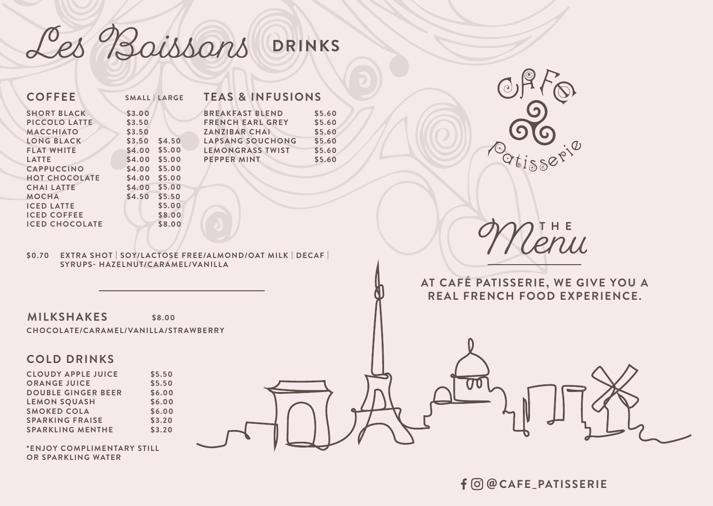**\*ENJOY COMPLIMENTARY STILL OR SPARKLING WATER**

SPARKLING MENTHE \$3.20



Les Boissons **DRINKS**



## **SERIE, WE GIVE YOU A REAL FOOD EXPERIENCE.**



|                                                                                                                                                                                                                                                                     |                                                                                                                                                                                                   |                                                                                                                                                                                                  |                                                          | $\overline{\mathfrak{c}}$           |
|---------------------------------------------------------------------------------------------------------------------------------------------------------------------------------------------------------------------------------------------------------------------|---------------------------------------------------------------------------------------------------------------------------------------------------------------------------------------------------|--------------------------------------------------------------------------------------------------------------------------------------------------------------------------------------------------|----------------------------------------------------------|-------------------------------------|
| <b>COFFEE</b>                                                                                                                                                                                                                                                       | SMALL LARGE                                                                                                                                                                                       | <b>TEAS &amp; INFUSIONS</b>                                                                                                                                                                      |                                                          |                                     |
| <b>SHORT BLACK</b><br>PICCOLO LATTE<br><b>MACCHIATO</b><br>LONG BLACK<br><b>FLAT WHITE</b><br><b>LATTE</b><br>CAPPUCCINO<br><b>HOT CHOCOLATE</b><br><b>CHAI LATTE</b><br><b>MOCHA</b><br><b>ICED LATTE</b><br><b>ICED COFFEE</b><br><b>ICED CHOCOLATE</b><br>\$0.70 | \$3.00<br>\$3.50<br>\$3.50<br>\$3.50<br>\$4.50<br>\$4.00<br>\$5.00<br>\$4.00<br>\$5.00<br>\$4.00<br>\$5.00<br>\$4.00<br>\$5.00<br>\$4.00 \$5.00<br>\$4.50<br>\$5.50<br>\$5.00<br>\$8.00<br>\$8.00 | <b>BREAKFAST BLEND</b><br><b>FRENCH EARL GREY</b><br><b>ZANZIBAR CHAI</b><br>LAPSANG SOUCHONG<br><b>LEMONGRASS TWIST</b><br>PEPPER MINT<br>EXTRA SHOT   SOY/LACTOSE FREE/ALMOND/OAT MILK   DECAF | \$5.60<br>\$5.60<br>\$5.60<br>\$5.60<br>\$5.60<br>\$5.60 |                                     |
|                                                                                                                                                                                                                                                                     | SYRUPS- HAZELNUT/CARAMEL/VANILLA                                                                                                                                                                  |                                                                                                                                                                                                  |                                                          | AT CAFÉ PATIS<br><b>REAL FRENCH</b> |
| <b>MILKSHAKES</b>                                                                                                                                                                                                                                                   | \$8.00                                                                                                                                                                                            |                                                                                                                                                                                                  |                                                          |                                     |
| CHOCOLATE/CARAMEL/VANILLA/STRAWBERRY                                                                                                                                                                                                                                |                                                                                                                                                                                                   |                                                                                                                                                                                                  |                                                          |                                     |
| <b>COLD DRINKS</b>                                                                                                                                                                                                                                                  |                                                                                                                                                                                                   |                                                                                                                                                                                                  |                                                          |                                     |
| <b>CLOUDY APPLE JUICE</b><br><b>ORANGE JUICE</b><br><b>DOUBLE GINGER BEER</b><br><b>LEMON SQUASH</b><br><b>SMOKED COLA</b><br><b>SPARKING FRAISE</b>                                                                                                                | \$5.50<br>\$5.50<br>\$6.00<br>\$6.00<br>\$6.00<br>\$3.20                                                                                                                                          |                                                                                                                                                                                                  |                                                          |                                     |